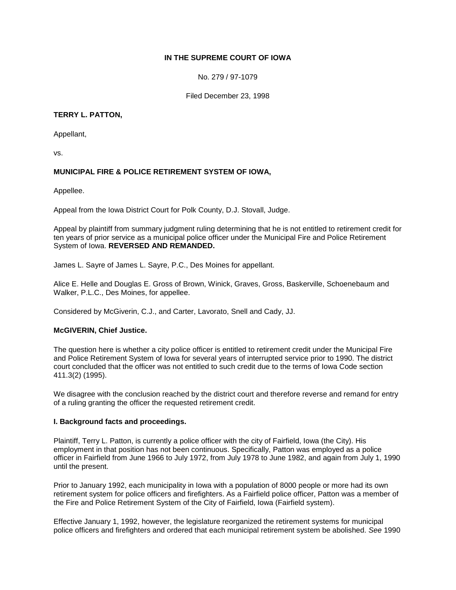### **IN THE SUPREME COURT OF IOWA**

No. 279 / 97-1079

Filed December 23, 1998

### **TERRY L. PATTON,**

Appellant,

vs.

# **MUNICIPAL FIRE & POLICE RETIREMENT SYSTEM OF IOWA,**

Appellee.

Appeal from the Iowa District Court for Polk County, D.J. Stovall, Judge.

Appeal by plaintiff from summary judgment ruling determining that he is not entitled to retirement credit for ten years of prior service as a municipal police officer under the Municipal Fire and Police Retirement System of Iowa. **REVERSED AND REMANDED.** 

James L. Sayre of James L. Sayre, P.C., Des Moines for appellant.

Alice E. Helle and Douglas E. Gross of Brown, Winick, Graves, Gross, Baskerville, Schoenebaum and Walker, P.L.C., Des Moines, for appellee.

Considered by McGiverin, C.J., and Carter, Lavorato, Snell and Cady, JJ.

# **McGIVERIN, Chief Justice.**

The question here is whether a city police officer is entitled to retirement credit under the Municipal Fire and Police Retirement System of Iowa for several years of interrupted service prior to 1990. The district court concluded that the officer was not entitled to such credit due to the terms of Iowa Code section 411.3(2) (1995).

We disagree with the conclusion reached by the district court and therefore reverse and remand for entry of a ruling granting the officer the requested retirement credit.

#### **I. Background facts and proceedings.**

Plaintiff, Terry L. Patton, is currently a police officer with the city of Fairfield, Iowa (the City). His employment in that position has not been continuous. Specifically, Patton was employed as a police officer in Fairfield from June 1966 to July 1972, from July 1978 to June 1982, and again from July 1, 1990 until the present.

Prior to January 1992, each municipality in Iowa with a population of 8000 people or more had its own retirement system for police officers and firefighters. As a Fairfield police officer, Patton was a member of the Fire and Police Retirement System of the City of Fairfield, Iowa (Fairfield system).

Effective January 1, 1992, however, the legislature reorganized the retirement systems for municipal police officers and firefighters and ordered that each municipal retirement system be abolished. *See* 1990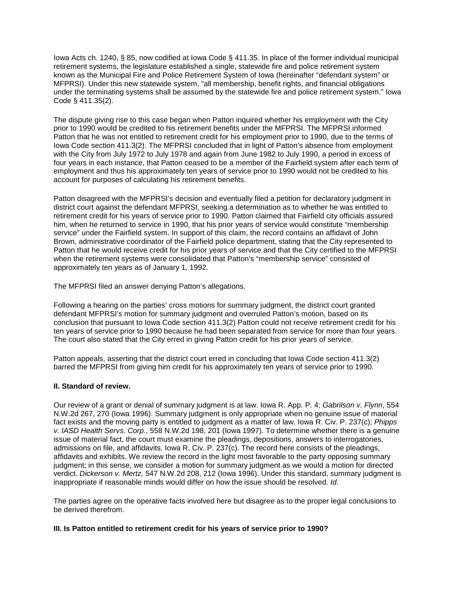Iowa Acts ch. 1240, § 85, now codified at Iowa Code § 411.35. In place of the former individual municipal retirement systems, the legislature established a single, statewide fire and police retirement system known as the Municipal Fire and Police Retirement System of Iowa (hereinafter "defendant system" or MFPRSI). Under this new statewide system, "all membership, benefit rights, and financial obligations under the terminating systems shall be assumed by the statewide fire and police retirement system." Iowa Code § 411.35(2).

The dispute giving rise to this case began when Patton inquired whether his employment with the City prior to 1990 would be credited to his retirement benefits under the MFPRSI. The MFPRSI informed Patton that he was not entitled to retirement credit for his employment prior to 1990, due to the terms of Iowa Code section 411.3(2). The MFPRSI concluded that in light of Patton's absence from employment with the City from July 1972 to July 1978 and again from June 1982 to July 1990, a period in excess of four years in each instance, that Patton ceased to be a member of the Fairfield system after each term of employment and thus his approximately ten years of service prior to 1990 would not be credited to his account for purposes of calculating his retirement benefits.

Patton disagreed with the MFPRSI's decision and eventually filed a petition for declaratory judgment in district court against the defendant MFPRSI, seeking a determination as to whether he was entitled to retirement credit for his years of service prior to 1990. Patton claimed that Fairfield city officials assured him, when he returned to service in 1990, that his prior years of service would constitute "membership service" under the Fairfield system. In support of this claim, the record contains an affidavit of John Brown, administrative coordinator of the Fairfield police department, stating that the City represented to Patton that he would receive credit for his prior years of service and that the City certified to the MFPRSI when the retirement systems were consolidated that Patton's "membership service" consisted of approximately ten years as of January 1, 1992.

The MFPRSI filed an answer denying Patton's allegations.

Following a hearing on the parties' cross motions for summary judgment, the district court granted defendant MFPRSI's motion for summary judgment and overruled Patton's motion, based on its conclusion that pursuant to Iowa Code section 411.3(2) Patton could not receive retirement credit for his ten years of service prior to 1990 because he had been separated from service for more than four years. The court also stated that the City erred in giving Patton credit for his prior years of service.

Patton appeals, asserting that the district court erred in concluding that Iowa Code section 411.3(2) barred the MFPRSI from giving him credit for his approximately ten years of service prior to 1990.

#### **II. Standard of review.**

Our review of a grant or denial of summary judgment is at law. Iowa R. App. P. 4; *Gabrilson v. Flynn*, 554 N.W.2d 267, 270 (Iowa 1996). Summary judgment is only appropriate when no genuine issue of material fact exists and the moving party is entitled to judgment as a matter of law. Iowa R. Civ. P. 237(c); *Phipps v. IASD Health Servs. Corp.*, 558 N.W.2d 198, 201 (Iowa 1997). To determine whether there is a genuine issue of material fact, the court must examine the pleadings, depositions, answers to interrogatories, admissions on file, and affidavits. Iowa R. Civ. P. 237(c). The record here consists of the pleadings, affidavits and exhibits. We review the record in the light most favorable to the party opposing summary judgment; in this sense, we consider a motion for summary judgment as we would a motion for directed verdict. *Dickerson v. Mertz,* 547 N.W.2d 208, 212 (Iowa 1996). Under this standard, summary judgment is inappropriate if reasonable minds would differ on how the issue should be resolved. *Id*.

The parties agree on the operative facts involved here but disagree as to the proper legal conclusions to be derived therefrom.

#### **III. Is Patton entitled to retirement credit for his years of service prior to 1990?**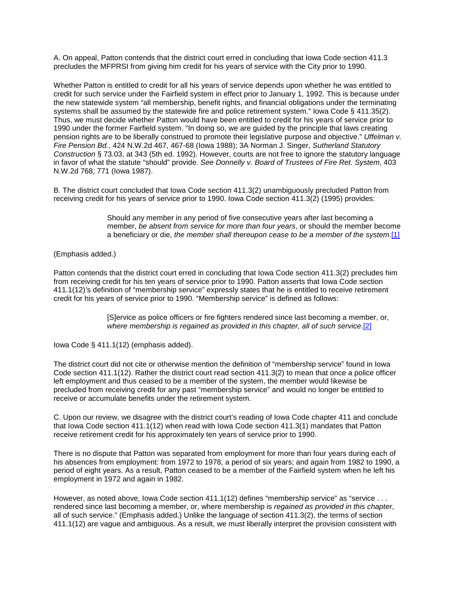A. On appeal, Patton contends that the district court erred in concluding that Iowa Code section 411.3 precludes the MFPRSI from giving him credit for his years of service with the City prior to 1990.

Whether Patton is entitled to credit for all his years of service depends upon whether he was entitled to credit for such service under the Fairfield system in effect prior to January 1, 1992. This is because under the new statewide system "all membership, benefit rights, and financial obligations under the terminating systems shall be assumed by the statewide fire and police retirement system." Iowa Code § 411.35(2). Thus, we must decide whether Patton would have been entitled to credit for his years of service prior to 1990 under the former Fairfield system. "In doing so, we are guided by the principle that laws creating pension rights are to be liberally construed to promote their legislative purpose and objective." *Uffelman v. Fire Pension Bd.*, 424 N.W.2d 467, 467-68 (Iowa 1988); 3A Norman J. Singer, *Sutherland Statutory Construction* § 73.03, at 343 (5th ed. 1992). However, courts are not free to ignore the statutory language in favor of what the statute "should" provide. *See Donnelly v. Board of Trustees of Fire Ret. System*, 403 N.W.2d 768, 771 (Iowa 1987).

B. The district court concluded that Iowa Code section 411.3(2) unambiguously precluded Patton from receiving credit for his years of service prior to 1990. Iowa Code section 411.3(2) (1995) provides:

> Should any member in any period of five consecutive years after last becoming a member, *be absent from service for more than four years*, or should the member become a beneficiary or die, *the member shall thereupon cease to be a member of the system*[.\[1\]](http://www.iowacourts.gov/About_the_Courts/Supreme_Court/Supreme_Court_Opinions/Recent_Opinions/19981223/97-1079.asp?Printable=true#fn1)

(Emphasis added.)

Patton contends that the district court erred in concluding that Iowa Code section 411.3(2) precludes him from receiving credit for his ten years of service prior to 1990. Patton asserts that Iowa Code section 411.1(12)'s definition of "membership service" expressly states that he is entitled to receive retirement credit for his years of service prior to 1990. "Membership service" is defined as follows:

> [S]ervice as police officers or fire fighters rendered since last becoming a member, or, *where membership is regained as provided in this chapter, all of such service*[.\[2\]](http://www.iowacourts.gov/About_the_Courts/Supreme_Court/Supreme_Court_Opinions/Recent_Opinions/19981223/97-1079.asp?Printable=true#fn2)

Iowa Code § 411.1(12) (emphasis added).

The district court did not cite or otherwise mention the definition of "membership service" found in Iowa Code section 411.1(12). Rather the district court read section 411.3(2) to mean that once a police officer left employment and thus ceased to be a member of the system, the member would likewise be precluded from receiving credit for any past "membership service" and would no longer be entitled to receive or accumulate benefits under the retirement system.

C. Upon our review, we disagree with the district court's reading of Iowa Code chapter 411 and conclude that Iowa Code section 411.1(12) when read with Iowa Code section 411.3(1) mandates that Patton receive retirement credit for his approximately ten years of service prior to 1990.

There is no dispute that Patton was separated from employment for more than four years during each of his absences from employment: from 1972 to 1978, a period of six years; and again from 1982 to 1990, a period of eight years. As a result, Patton ceased to be a member of the Fairfield system when he left his employment in 1972 and again in 1982.

However, as noted above, Iowa Code section 411.1(12) defines "membership service" as "service . . . rendered since last becoming a member, or, where membership is *regained as provided in this chapter*, all of such service." (Emphasis added.) Unlike the language of section 411.3(2), the terms of section 411.1(12) are vague and ambiguous. As a result, we must liberally interpret the provision consistent with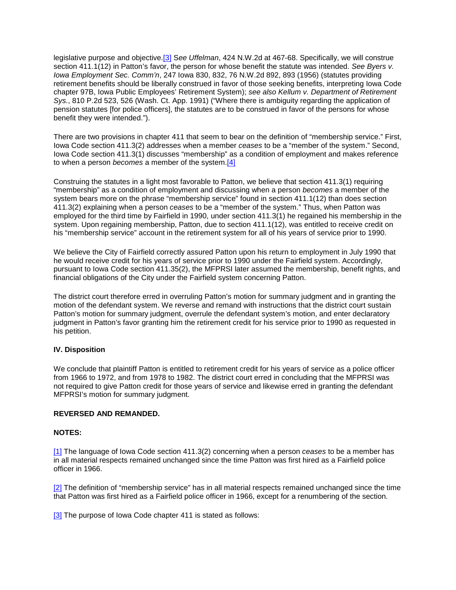legislative purpose and objective[.\[3\]](http://www.iowacourts.gov/About_the_Courts/Supreme_Court/Supreme_Court_Opinions/Recent_Opinions/19981223/97-1079.asp?Printable=true#fn3) S*ee Uffelman*, 424 N.W.2d at 467-68. Specifically, we will construe section 411.1(12) in Patton's favor, the person for whose benefit the statute was intended. *See Byers v. Iowa Employment Sec. Comm'n*, 247 Iowa 830, 832, 76 N.W.2d 892, 893 (1956) (statutes providing retirement benefits should be liberally construed in favor of those seeking benefits, interpreting Iowa Code chapter 97B, Iowa Public Employees' Retirement System); *see also Kellum v. Department of Retirement Sys.*, 810 P.2d 523, 526 (Wash. Ct. App. 1991) ("Where there is ambiguity regarding the application of pension statutes [for police officers], the statutes are to be construed in favor of the persons for whose benefit they were intended.").

There are two provisions in chapter 411 that seem to bear on the definition of "membership service." First, Iowa Code section 411.3(2) addresses when a member *ceases* to be a "member of the system." Second, Iowa Code section 411.3(1) discusses "membership" as a condition of employment and makes reference to when a person *becomes* a member of the system[.\[4\]](http://www.iowacourts.gov/About_the_Courts/Supreme_Court/Supreme_Court_Opinions/Recent_Opinions/19981223/97-1079.asp?Printable=true#fn4)

Construing the statutes in a light most favorable to Patton, we believe that section 411.3(1) requiring "membership" as a condition of employment and discussing when a person *becomes* a member of the system bears more on the phrase "membership service" found in section 411.1(12) than does section 411.3(2) explaining when a person *ceases* to be a "member of the system." Thus, when Patton was employed for the third time by Fairfield in 1990, under section 411.3(1) he regained his membership in the system. Upon regaining membership, Patton, due to section 411.1(12), was entitled to receive credit on his "membership service" account in the retirement system for all of his years of service prior to 1990.

We believe the City of Fairfield correctly assured Patton upon his return to employment in July 1990 that he would receive credit for his years of service prior to 1990 under the Fairfield system. Accordingly, pursuant to Iowa Code section 411.35(2), the MFPRSI later assumed the membership, benefit rights, and financial obligations of the City under the Fairfield system concerning Patton.

The district court therefore erred in overruling Patton's motion for summary judgment and in granting the motion of the defendant system. We reverse and remand with instructions that the district court sustain Patton's motion for summary judgment, overrule the defendant system's motion, and enter declaratory judgment in Patton's favor granting him the retirement credit for his service prior to 1990 as requested in his petition.

# **IV. Disposition**

We conclude that plaintiff Patton is entitled to retirement credit for his years of service as a police officer from 1966 to 1972, and from 1978 to 1982. The district court erred in concluding that the MFPRSI was not required to give Patton credit for those years of service and likewise erred in granting the defendant MFPRSI's motion for summary judgment.

### **REVERSED AND REMANDED.**

#### **NOTES:**

[\[1\]](http://www.iowacourts.gov/About_the_Courts/Supreme_Court/Supreme_Court_Opinions/Recent_Opinions/19981223/97-1079.asp?Printable=true#f1) The language of Iowa Code section 411.3(2) concerning when a person *ceases* to be a member has in all material respects remained unchanged since the time Patton was first hired as a Fairfield police officer in 1966.

[\[2\]](http://www.iowacourts.gov/About_the_Courts/Supreme_Court/Supreme_Court_Opinions/Recent_Opinions/19981223/97-1079.asp?Printable=true#f2) The definition of "membership service" has in all material respects remained unchanged since the time that Patton was first hired as a Fairfield police officer in 1966, except for a renumbering of the section.

[\[3\]](http://www.iowacourts.gov/About_the_Courts/Supreme_Court/Supreme_Court_Opinions/Recent_Opinions/19981223/97-1079.asp?Printable=true#f3) The purpose of Iowa Code chapter 411 is stated as follows: